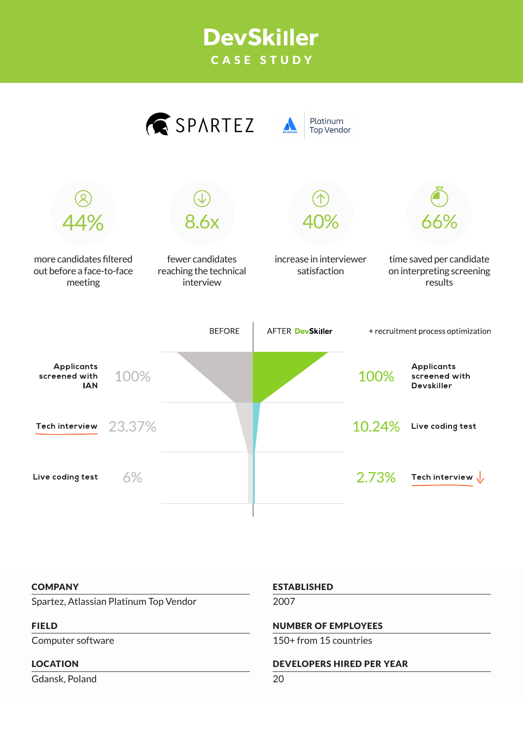## **DevSkiller** CASE STUDY



#### **COMPANY**

Spartez, Atlassian Platinum Top Vendor

#### FIELD

Computer software

#### LOCATION

Gdansk, Poland

#### ESTABLISHED

2007

#### NUMBER OF EMPLOYEES

150+ from 15 countries

#### DEVELOPERS HIRED PER YEAR

20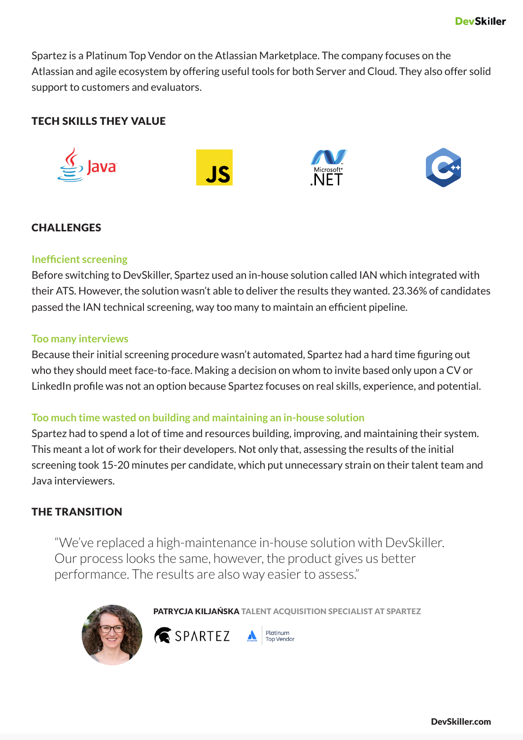Spartez is a Platinum Top Vendor on the Atlassian Marketplace. The company focuses on the Atlassian and agile ecosystem by offering useful tools for both Server and Cloud. They also offer solid support to customers and evaluators.

## TECH SKILLS THEY VALUE



## **CHALLENGES**

## **Inefficient screening**

Before switching to DevSkiller, Spartez used an in-house solution called IAN which integrated with their ATS. However, the solution wasn't able to deliver the results they wanted. 23.36% of candidates passed the IAN technical screening, way too many to maintain an efficient pipeline.

## **Too many interviews**

Because their initial screening procedure wasn't automated, Spartez had a hard time figuring out who they should meet face-to-face. Making a decision on whom to invite based only upon a CV or LinkedIn profile was not an option because Spartez focuses on real skills, experience, and potential.

#### **Too much time wasted on building and maintaining an in-house solution**

Spartez had to spend a lot of time and resources building, improving, and maintaining their system. This meant a lot of work for their developers. Not only that, assessing the results of the initial screening took 15-20 minutes per candidate, which put unnecessary strain on their talent team and Java interviewers.

## THE TRANSITION

"We've replaced a high-maintenance in-house solution with DevSkiller. Our process looks the same, however, the product gives us better performance. The results are also way easier to assess."



PATRYCJA KILJAŃSKA TALENT ACQUISITION SPECIALIST AT SPARTEZ

**Platinum**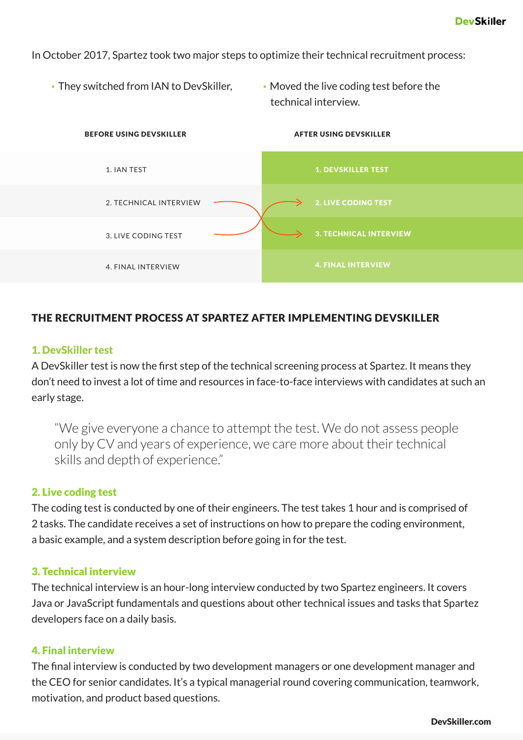In October 2017, Spartez took two major steps to optimize their technical recruitment process:

- They switched from IAN to DevSkiller, Moved the live coding test before the
	- technical interview.



## THE RECRUITMENT PROCESS AT SPARTEZ AFTER IMPLEMENTING DEVSKILLER

## 1. DevSkiller test

A DevSkiller test is now the first step of the technical screening process at Spartez. It means they don't need to invest a lot of time and resources in face-to-face interviews with candidates at such an early stage.

"We give everyone a chance to attempt the test. We do not assess people only by CV and years of experience, we care more about their technical skills and depth of experience."

## 2. Live coding test

The coding test is conducted by one of their engineers. The test takes 1 hour and is comprised of 2 tasks. The candidate receives a set of instructions on how to prepare the coding environment, a basic example, and a system description before going in for the test.

#### 3. Technical interview

The technical interview is an hour-long interview conducted by two Spartez engineers. It covers Java or JavaScript fundamentals and questions about other technical issues and tasks that Spartez developers face on a daily basis.

## 4. Final interview

The final interview is conducted by two development managers or one development manager and the CEO for senior candidates. It's a typical managerial round covering communication, teamwork, motivation, and product based questions.